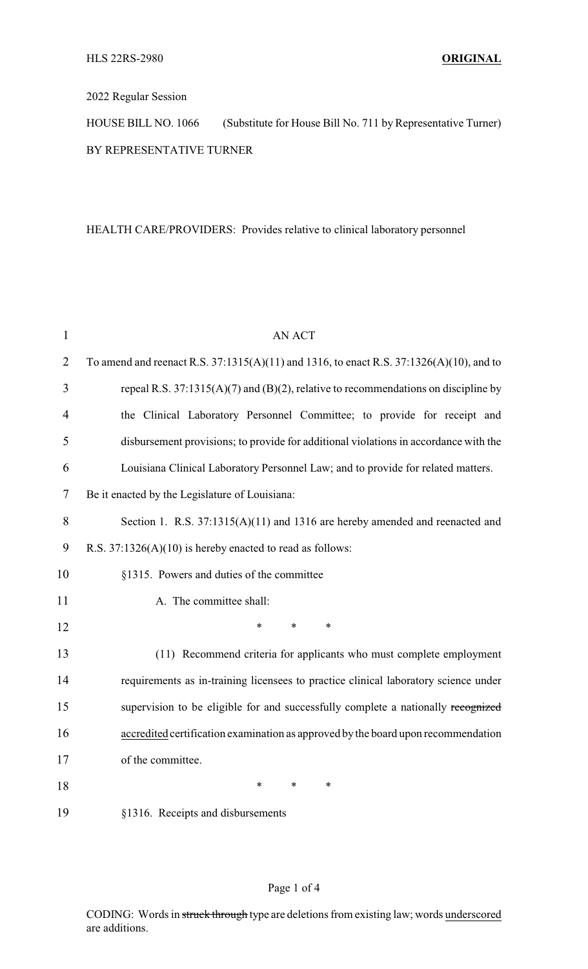## 2022 Regular Session

HOUSE BILL NO. 1066 (Substitute for House Bill No. 711 by Representative Turner) BY REPRESENTATIVE TURNER

## HEALTH CARE/PROVIDERS: Provides relative to clinical laboratory personnel

| $\mathbf{1}$   | <b>AN ACT</b>                                                                           |  |  |
|----------------|-----------------------------------------------------------------------------------------|--|--|
| $\overline{2}$ | To amend and reenact R.S. 37:1315(A)(11) and 1316, to enact R.S. 37:1326(A)(10), and to |  |  |
| 3              | repeal R.S. $37:1315(A)(7)$ and (B)(2), relative to recommendations on discipline by    |  |  |
| $\overline{4}$ | the Clinical Laboratory Personnel Committee; to provide for receipt and                 |  |  |
| 5              | disbursement provisions; to provide for additional violations in accordance with the    |  |  |
| 6              | Louisiana Clinical Laboratory Personnel Law; and to provide for related matters.        |  |  |
| $\tau$         | Be it enacted by the Legislature of Louisiana:                                          |  |  |
| 8              | Section 1. R.S. 37:1315(A)(11) and 1316 are hereby amended and reenacted and            |  |  |
| 9              | R.S. $37:1326(A)(10)$ is hereby enacted to read as follows:                             |  |  |
| 10             | §1315. Powers and duties of the committee                                               |  |  |
| 11             | A. The committee shall:                                                                 |  |  |
| 12             | $\ast$<br>*<br>*                                                                        |  |  |
| 13             | (11) Recommend criteria for applicants who must complete employment                     |  |  |
| 14             | requirements as in-training licensees to practice clinical laboratory science under     |  |  |
| 15             | supervision to be eligible for and successfully complete a nationally recognized        |  |  |
| 16             | accredited certification examination as approved by the board upon recommendation       |  |  |
| 17             | of the committee.                                                                       |  |  |
| 18             | $\ast$<br>$\ast$<br>*                                                                   |  |  |
| 19             | §1316. Receipts and disbursements                                                       |  |  |

## Page 1 of 4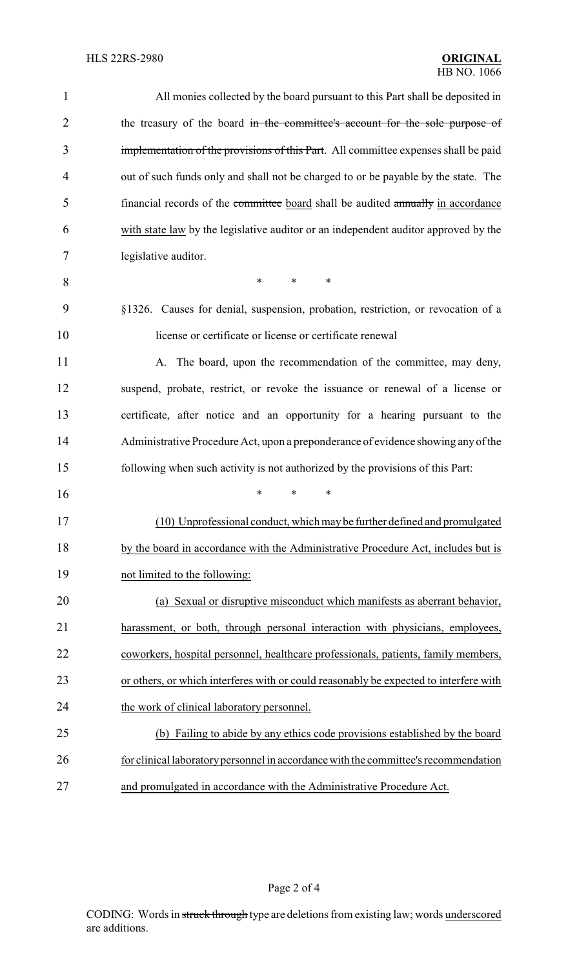| 1              | All monies collected by the board pursuant to this Part shall be deposited in         |
|----------------|---------------------------------------------------------------------------------------|
| $\overline{2}$ | the treasury of the board in the committee's account for the sole purpose of          |
| 3              | implementation of the provisions of this Part. All committee expenses shall be paid   |
| 4              | out of such funds only and shall not be charged to or be payable by the state. The    |
| 5              | financial records of the committee board shall be audited annually in accordance      |
| 6              | with state law by the legislative auditor or an independent auditor approved by the   |
| 7              | legislative auditor.                                                                  |
| 8              | *<br>$\ast$<br>$\ast$                                                                 |
| 9              | §1326. Causes for denial, suspension, probation, restriction, or revocation of a      |
| 10             | license or certificate or license or certificate renewal                              |
| 11             | A. The board, upon the recommendation of the committee, may deny,                     |
| 12             | suspend, probate, restrict, or revoke the issuance or renewal of a license or         |
| 13             | certificate, after notice and an opportunity for a hearing pursuant to the            |
| 14             | Administrative Procedure Act, upon a preponderance of evidence showing any of the     |
| 15             | following when such activity is not authorized by the provisions of this Part:        |
| 16             | *<br>∗                                                                                |
| 17             | (10) Unprofessional conduct, which may be further defined and promulgated             |
| 18             | by the board in accordance with the Administrative Procedure Act, includes but is     |
| 19             | not limited to the following:                                                         |
| 20             | (a) Sexual or disruptive misconduct which manifests as aberrant behavior,             |
| 21             | harassment, or both, through personal interaction with physicians, employees,         |
| 22             | coworkers, hospital personnel, healthcare professionals, patients, family members,    |
| 23             | or others, or which interferes with or could reasonably be expected to interfere with |
| 24             | the work of clinical laboratory personnel.                                            |
| 25             | (b) Failing to abide by any ethics code provisions established by the board           |
| 26             | for clinical laboratory personnel in accordance with the committee's recommendation   |
| 27             | and promulgated in accordance with the Administrative Procedure Act.                  |

Page 2 of 4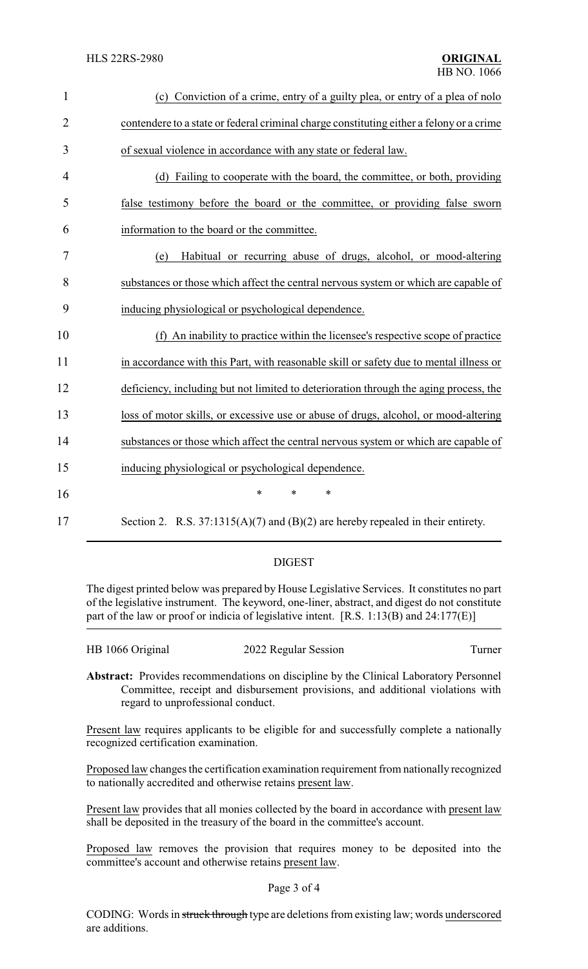| $\mathbf{1}$   | (c) Conviction of a crime, entry of a guilty plea, or entry of a plea of nolo            |
|----------------|------------------------------------------------------------------------------------------|
| $\overline{2}$ | contendere to a state or federal criminal charge constituting either a felony or a crime |
| 3              | of sexual violence in accordance with any state or federal law.                          |
| 4              | (d) Failing to cooperate with the board, the committee, or both, providing               |
| 5              | false testimony before the board or the committee, or providing false sworn              |
| 6              | information to the board or the committee.                                               |
| 7              | Habitual or recurring abuse of drugs, alcohol, or mood-altering<br>(e)                   |
| 8              | substances or those which affect the central nervous system or which are capable of      |
| 9              | inducing physiological or psychological dependence.                                      |
| 10             | (f) An inability to practice within the licensee's respective scope of practice          |
| 11             | in accordance with this Part, with reasonable skill or safety due to mental illness or   |
| 12             | deficiency, including but not limited to deterioration through the aging process, the    |
| 13             | loss of motor skills, or excessive use or abuse of drugs, alcohol, or mood-altering      |
| 14             | substances or those which affect the central nervous system or which are capable of      |
| 15             | inducing physiological or psychological dependence.                                      |
| 16             | $\ast$<br>*<br>*                                                                         |
| 17             | Section 2. R.S. $37:1315(A)(7)$ and (B)(2) are hereby repealed in their entirety.        |

## DIGEST

The digest printed below was prepared by House Legislative Services. It constitutes no part of the legislative instrument. The keyword, one-liner, abstract, and digest do not constitute part of the law or proof or indicia of legislative intent. [R.S. 1:13(B) and 24:177(E)]

| HB 1066 Original | 2022 Regular Session | Furner |
|------------------|----------------------|--------|
|                  |                      |        |

**Abstract:** Provides recommendations on discipline by the Clinical Laboratory Personnel Committee, receipt and disbursement provisions, and additional violations with regard to unprofessional conduct.

Present law requires applicants to be eligible for and successfully complete a nationally recognized certification examination.

Proposed law changes the certification examination requirement from nationally recognized to nationally accredited and otherwise retains present law.

Present law provides that all monies collected by the board in accordance with present law shall be deposited in the treasury of the board in the committee's account.

Proposed law removes the provision that requires money to be deposited into the committee's account and otherwise retains present law.